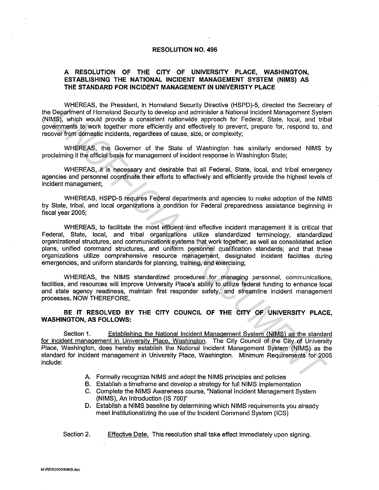## **RESOLUTION NO. 496**

## **A RESOLUTION OF THE CITY OF UNIVERSITY PLACE, WASHINGTON, ESTABLISHING THE NATIONAL INCIDENT MANAGEMENT SYSTEM (NIMS) AS THE STANDARD FOR INCIDENT MANAGEMENT IN UNIVERISTY PLACE**

WHEREAS, the President, in Homeland Security Directive (HSPD)-5, directed the Secretary of the Department of Homeland Security to develop and administer a National Incident Management System (NIMS), which would provide a consistent nationwide approach for Federal, State, local, and tribal governments to work together more efficiently and effectively to prevent, prepare for, respond to, and recover from domestic incidents, regardless of cause, size, or complexity;

WHEREAS, the Governor of the State of Washington has similarly endorsed NIMS by proclaiming it the official basis for management of incident response in Washington State;

WHEREAS, it is necessary and desirable that all Federal, State, local, and tribal emergency agencies and personnel coordinate their efforts to effectively and efficiently provide the highest levels of incident management;

WHEREAS, HSPD-5 requires Federal departments and agencies to make adoption of the NIMS by State, tribal, and local organizations a condition for Federal preparedness assistance beginning in fiscal year 2005;

WHEREAS, to facilitate the most efficient and effective incident management it is critical that Federal, State, local, and tribal organizations utilize standardized terminology, standardized organizational structures, and communications systems that work together; as well as consolidated action plans, unified command structures, and uniform personnel qualification standards; and that these organizations utilize comprehensive resource management, designated incident facilities during emergencies, and uniform standards for planning, training, and exercising; Department of Homeland Security is of the most interest with one occurs is a considerate that the security is the considerate that the constrained the constrained the constrained the constrained the constrained the constra

WHEREAS, the NIMS standardized procedures for managing personnel. communications, facilities, and resources will improve University Place's ability to utilize federal funding to enhance local and state agency readiness, maintain first responder safety, and streamline incident management processes, NOW THEREFORE,

**BE IT RESOLVED BY THE CITY COUNCIL OF THE CITY OF UNIVERSITY PLACE, WASHINGTON, AS FOLLOWS:** 

Section 1. Establishing the National Incident Management System (NIMS) as the standard for incident management in University Place, Washington. The City Council of the City of University Place, Washington, does hereby establish the National Incident Management System (NIMS) as the standard for incident management in University Place, Washington. Minimum Requirements for 2005 include:

- A. Formally recognize NIMS and adopt the NIMS principles and policies
- B. Establish a timeframe and develop a strategy for full NIMS implementation
- C. Complete the NIMS Awareness course, "National Incident Management System (NIMS), An Introduction (IS 700)"
- D. Establish a NIMS baseline by determining which NIMS requirements you already meet Institutionalizing the use of the Incident Command System (!CS)

Section 2. Effective Date. This resolution shall take effect immediately upon signing.